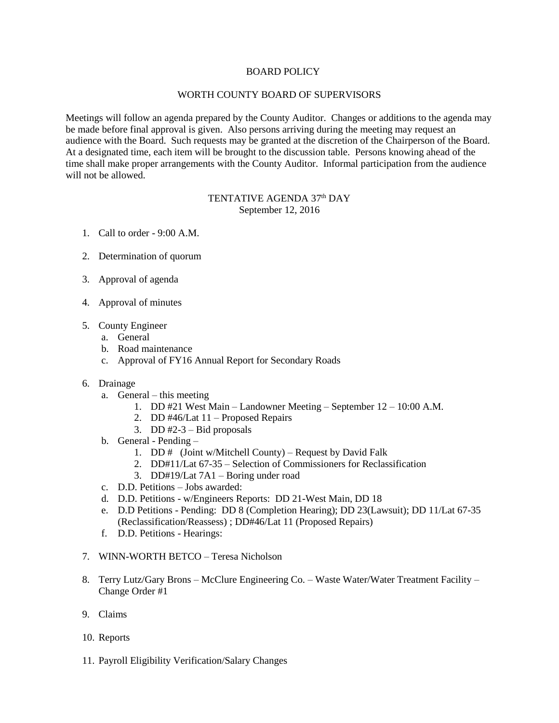### BOARD POLICY

## WORTH COUNTY BOARD OF SUPERVISORS

Meetings will follow an agenda prepared by the County Auditor. Changes or additions to the agenda may be made before final approval is given. Also persons arriving during the meeting may request an audience with the Board. Such requests may be granted at the discretion of the Chairperson of the Board. At a designated time, each item will be brought to the discussion table. Persons knowing ahead of the time shall make proper arrangements with the County Auditor. Informal participation from the audience will not be allowed.

## TENTATIVE AGENDA 37<sup>th</sup> DAY September 12, 2016

- 1. Call to order 9:00 A.M.
- 2. Determination of quorum
- 3. Approval of agenda
- 4. Approval of minutes
- 5. County Engineer
	- a. General
	- b. Road maintenance
	- c. Approval of FY16 Annual Report for Secondary Roads
- 6. Drainage
	- a. General this meeting
		- 1. DD #21 West Main Landowner Meeting September 12 10:00 A.M.
		- 2. DD #46/Lat 11 Proposed Repairs
		- 3. DD  $#2-3$  Bid proposals
	- b. General Pending
		- 1. DD # (Joint w/Mitchell County) Request by David Falk
		- 2. DD#11/Lat 67-35 Selection of Commissioners for Reclassification
		- 3. DD#19/Lat 7A1 Boring under road
	- c. D.D. Petitions Jobs awarded:
	- d. D.D. Petitions w/Engineers Reports: DD 21-West Main, DD 18
	- e. D.D Petitions Pending: DD 8 (Completion Hearing); DD 23(Lawsuit); DD 11/Lat 67-35 (Reclassification/Reassess) ; DD#46/Lat 11 (Proposed Repairs)
	- f. D.D. Petitions Hearings:
- 7. WINN-WORTH BETCO Teresa Nicholson
- 8. Terry Lutz/Gary Brons McClure Engineering Co. Waste Water/Water Treatment Facility Change Order #1
- 9. Claims
- 10. Reports
- 11. Payroll Eligibility Verification/Salary Changes